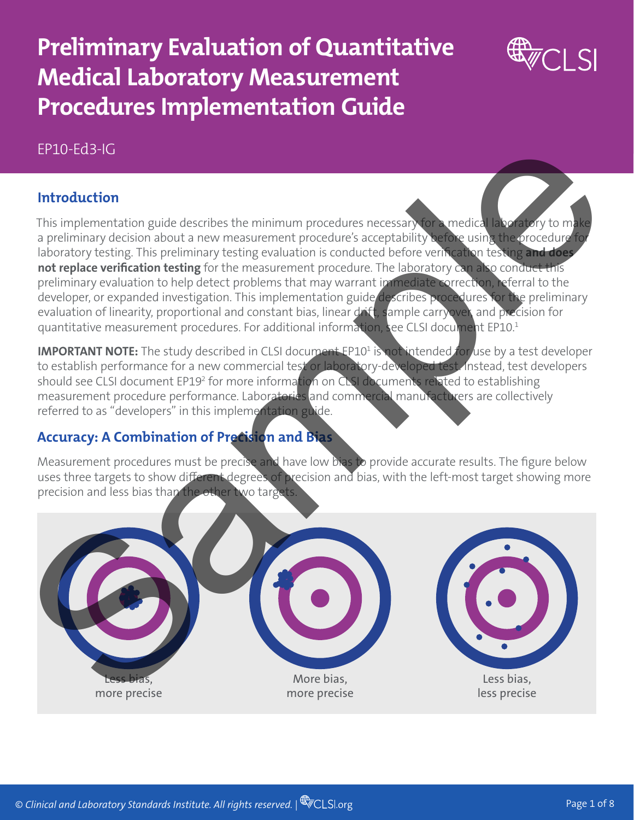## **Preliminary Evaluation of Quantitative Medical Laboratory Measurement Procedures Implementation Guide**



## EP10-Ed3-IG

## **Introduction**

This implementation guide describes the minimum procedures necessary for a medical laboratory to make a preliminary decision about a new measurement procedure's acceptability before using the procedure for laboratory testing. This preliminary testing evaluation is conducted before verification testing **and does not replace verification testing** for the measurement procedure. The laboratory can also conduct this preliminary evaluation to help detect problems that may warrant immediate correction, referral to the developer, or expanded investigation. This implementation guide describes procedures for the preliminary evaluation of linearity, proportional and constant bias, linear drift, sample carryover, and precision for quantitative measurement procedures. For additional information, see CLSI document EP10.<sup>1</sup>

**IMPORTANT NOTE:** The study described in CLSI document EP10<sup>1</sup> is not intended for use by a test developer to establish performance for a new commercial test or laboratory-developed test. Instead, test developers should see CLSI document EP19<sup>2</sup> for more informa<mark>tion on CLSI documents relat</mark>ed to establishing measurement procedure performance. Laboratories and commercial manufacturers are collectively referred to as "developers" in this implementation guide.

## **Accuracy: A Combination of Precision and Bias**

Measurement procedures must be precise and have low bias to provide accurate results. The figure below uses three targets to show different degrees of precision and bias, with the left-most target showing more precision and less bias than the other two targets.